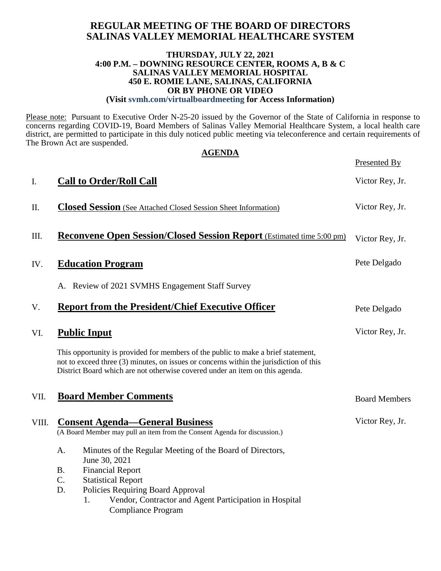### **REGULAR MEETING OF THE BOARD OF DIRECTORS SALINAS VALLEY MEMORIAL HEALTHCARE SYSTEM**

#### **THURSDAY, JULY 22, 2021 4:00 P.M. – DOWNING RESOURCE CENTER, ROOMS A, B & C SALINAS VALLEY MEMORIAL HOSPITAL 450 E. ROMIE LANE, SALINAS, CALIFORNIA OR BY PHONE OR VIDEO (Visit svmh.com/virtualboardmeeting for Access Information)**

Please note: Pursuant to Executive Order N-25-20 issued by the Governor of the State of California in response to concerns regarding COVID-19, Board Members of Salinas Valley Memorial Healthcare System, a local health care district, are permitted to participate in this duly noticed public meeting via teleconference and certain requirements of The Brown Act are suspended.

| <b>AGENDA</b> |                                                                                                                                                                                                                                                             |                      |  |  |
|---------------|-------------------------------------------------------------------------------------------------------------------------------------------------------------------------------------------------------------------------------------------------------------|----------------------|--|--|
|               |                                                                                                                                                                                                                                                             | Presented By         |  |  |
| I.            | <b>Call to Order/Roll Call</b>                                                                                                                                                                                                                              | Victor Rey, Jr.      |  |  |
| Π.            | <b>Closed Session</b> (See Attached Closed Session Sheet Information)                                                                                                                                                                                       | Victor Rey, Jr.      |  |  |
| Ш.            | <b>Reconvene Open Session/Closed Session Report</b> (Estimated time 5:00 pm)                                                                                                                                                                                | Victor Rey, Jr.      |  |  |
| IV.           | <b>Education Program</b>                                                                                                                                                                                                                                    | Pete Delgado         |  |  |
|               | A. Review of 2021 SVMHS Engagement Staff Survey                                                                                                                                                                                                             |                      |  |  |
| V.            | <b>Report from the President/Chief Executive Officer</b>                                                                                                                                                                                                    | Pete Delgado         |  |  |
| VI.           | <b>Public Input</b>                                                                                                                                                                                                                                         | Victor Rey, Jr.      |  |  |
|               | This opportunity is provided for members of the public to make a brief statement,<br>not to exceed three (3) minutes, on issues or concerns within the jurisdiction of this<br>District Board which are not otherwise covered under an item on this agenda. |                      |  |  |
| VII.          | <b>Board Member Comments</b>                                                                                                                                                                                                                                | <b>Board Members</b> |  |  |
| VIII.         | <b>Consent Agenda—General Business</b><br>(A Board Member may pull an item from the Consent Agenda for discussion.)                                                                                                                                         | Victor Rey, Jr.      |  |  |
|               | Minutes of the Regular Meeting of the Board of Directors,<br>A.<br>June 30, 2021<br><b>Financial Report</b><br><b>B.</b><br>C.<br><b>Statistical Report</b>                                                                                                 |                      |  |  |
|               | D.<br>Policies Requiring Board Approval<br>Vendor, Contractor and Agent Participation in Hospital<br>1.<br><b>Compliance Program</b>                                                                                                                        |                      |  |  |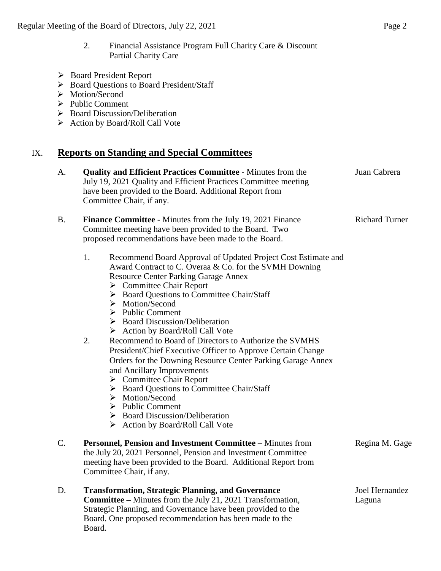- Board President Report
- Board Questions to Board President/Staff
- > Motion/Second
- $\triangleright$  Public Comment
- $\triangleright$  Board Discussion/Deliberation
- $\triangleright$  Action by Board/Roll Call Vote

## IX. **Reports on Standing and Special Committees**

| A.        | <b>Quality and Efficient Practices Committee - Minutes from the</b><br>July 19, 2021 Quality and Efficient Practices Committee meeting<br>have been provided to the Board. Additional Report from<br>Committee Chair, if any.                                                                                                                                                                                                                                                                                                                                                                                                                                                                                                                                                                                                                                                                   | Juan Cabrera             |
|-----------|-------------------------------------------------------------------------------------------------------------------------------------------------------------------------------------------------------------------------------------------------------------------------------------------------------------------------------------------------------------------------------------------------------------------------------------------------------------------------------------------------------------------------------------------------------------------------------------------------------------------------------------------------------------------------------------------------------------------------------------------------------------------------------------------------------------------------------------------------------------------------------------------------|--------------------------|
| <b>B.</b> | <b>Finance Committee - Minutes from the July 19, 2021 Finance</b><br>Committee meeting have been provided to the Board. Two<br>proposed recommendations have been made to the Board.                                                                                                                                                                                                                                                                                                                                                                                                                                                                                                                                                                                                                                                                                                            | <b>Richard Turner</b>    |
|           | 1.<br>Recommend Board Approval of Updated Project Cost Estimate and<br>Award Contract to C. Overaa & Co. for the SVMH Downing<br><b>Resource Center Parking Garage Annex</b><br>$\triangleright$ Committee Chair Report<br>> Board Questions to Committee Chair/Staff<br>Motion/Second<br>➤<br>$\triangleright$ Public Comment<br>> Board Discussion/Deliberation<br>> Action by Board/Roll Call Vote<br>2.<br>Recommend to Board of Directors to Authorize the SVMHS<br>President/Chief Executive Officer to Approve Certain Change<br>Orders for the Downing Resource Center Parking Garage Annex<br>and Ancillary Improvements<br>$\triangleright$ Committee Chair Report<br><b>Board Questions to Committee Chair/Staff</b><br>➤<br>$\triangleright$ Motion/Second<br>$\triangleright$ Public Comment<br>$\triangleright$ Board Discussion/Deliberation<br>> Action by Board/Roll Call Vote |                          |
| C.        | Personnel, Pension and Investment Committee - Minutes from<br>the July 20, 2021 Personnel, Pension and Investment Committee<br>meeting have been provided to the Board. Additional Report from<br>Committee Chair, if any.                                                                                                                                                                                                                                                                                                                                                                                                                                                                                                                                                                                                                                                                      | Regina M. Gage           |
| D.        | <b>Transformation, Strategic Planning, and Governance</b><br><b>Committee - Minutes from the July 21, 2021 Transformation,</b><br>Strategic Planning, and Governance have been provided to the<br>Board. One proposed recommendation has been made to the<br>Board.                                                                                                                                                                                                                                                                                                                                                                                                                                                                                                                                                                                                                             | Joel Hernandez<br>Laguna |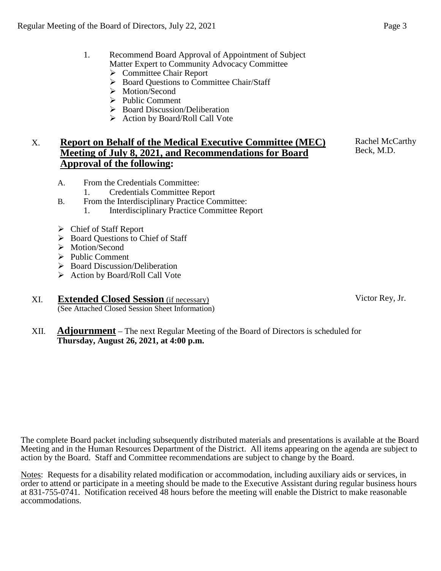- 1. Recommend Board Approval of Appointment of Subject Matter Expert to Community Advocacy Committee
	- **►** Committee Chair Report
	- ▶ Board Questions to Committee Chair/Staff
	- > Motion/Second
	- $\triangleright$  Public Comment
	- $\triangleright$  Board Discussion/Deliberation
	- $\triangleright$  Action by Board/Roll Call Vote

## X. **Report on Behalf of the Medical Executive Committee (MEC) Meeting of July 8, 2021, and Recommendations for Board Approval of the following:**

- A. From the Credentials Committee:
	- 1. Credentials Committee Report
- B. From the Interdisciplinary Practice Committee: 1. Interdisciplinary Practice Committee Report
- Chief of Staff Report
- $\triangleright$  Board Questions to Chief of Staff
- > Motion/Second
- $\triangleright$  Public Comment
- $\triangleright$  Board Discussion/Deliberation
- $\triangleright$  Action by Board/Roll Call Vote
- XI. **Extended Closed Session** (if necessary) (See Attached Closed Session Sheet Information)
- XII. **Adjournment** The next Regular Meeting of the Board of Directors is scheduled for **Thursday, August 26, 2021, at 4:00 p.m.**

The complete Board packet including subsequently distributed materials and presentations is available at the Board Meeting and in the Human Resources Department of the District. All items appearing on the agenda are subject to action by the Board. Staff and Committee recommendations are subject to change by the Board.

Notes: Requests for a disability related modification or accommodation, including auxiliary aids or services, in order to attend or participate in a meeting should be made to the Executive Assistant during regular business hours at 831-755-0741. Notification received 48 hours before the meeting will enable the District to make reasonable accommodations.

Victor Rey, Jr.

Rachel McCarthy Beck, M.D.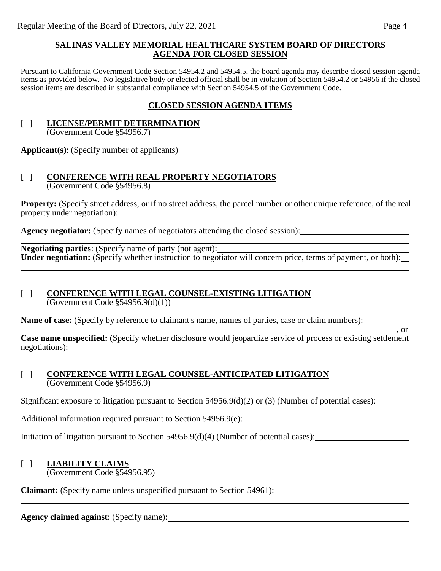#### **SALINAS VALLEY MEMORIAL HEALTHCARE SYSTEM BOARD OF DIRECTORS AGENDA FOR CLOSED SESSION**

Pursuant to California Government Code Section 54954.2 and 54954.5, the board agenda may describe closed session agenda items as provided below. No legislative body or elected official shall be in violation of Section 54954.2 or 54956 if the closed session items are described in substantial compliance with Section 54954.5 of the Government Code.

### **CLOSED SESSION AGENDA ITEMS**

## **[ ] LICENSE/PERMIT DETERMINATION**

(Government Code §54956.7)

**Applicant(s)**: (Specify number of applicants)

#### **[ ] CONFERENCE WITH REAL PROPERTY NEGOTIATORS** (Government Code §54956.8)

**Property:** (Specify street address, or if no street address, the parcel number or other unique reference, of the real property under negotiation):

**Agency negotiator:** (Specify names of negotiators attending the closed session):

**Negotiating parties**: (Specify name of party (not agent): **Under negotiation:** (Specify whether instruction to negotiator will concern price, terms of payment, or both):

## **[ ] CONFERENCE WITH LEGAL COUNSEL-EXISTING LITIGATION**

(Government Code §54956.9(d)(1))

**Name of case:** (Specify by reference to claimant's name, names of parties, case or claim numbers):

 $\overline{\phantom{0}}$ , or **Case name unspecified:** (Specify whether disclosure would jeopardize service of process or existing settlement negotiations):

#### **[ ] CONFERENCE WITH LEGAL COUNSEL-ANTICIPATED LITIGATION** (Government Code §54956.9)

Significant exposure to litigation pursuant to Section 54956.9(d)(2) or (3) (Number of potential cases):

Additional information required pursuant to Section 54956.9(e):

Initiation of litigation pursuant to Section 54956.9(d)(4) (Number of potential cases):

## **[ ] LIABILITY CLAIMS**

(Government Code §54956.95)

**Claimant:** (Specify name unless unspecified pursuant to Section 54961):

## **Agency claimed against**: (Specify name):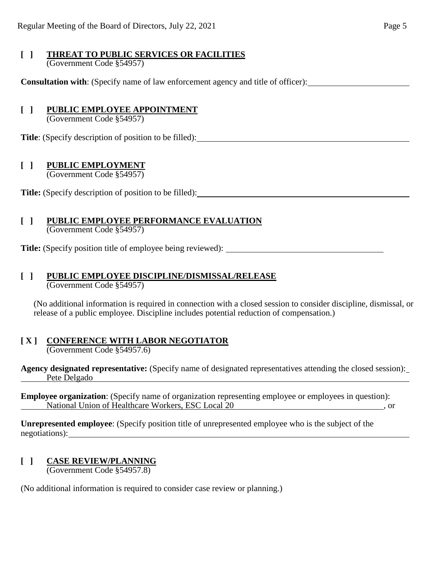#### **[ ] THREAT TO PUBLIC SERVICES OR FACILITIES** (Government Code §54957)

**Consultation with**: (Specify name of law enforcement agency and title of officer):

### **[ ] PUBLIC EMPLOYEE APPOINTMENT**

(Government Code §54957)

**Title**: (Specify description of position to be filled):

### **[ ] PUBLIC EMPLOYMENT**

(Government Code §54957)

**Title:** (Specify description of position to be filled):

#### **[ ] PUBLIC EMPLOYEE PERFORMANCE EVALUATION** (Government Code §54957)

**Title:** (Specify position title of employee being reviewed):

# **[ ] PUBLIC EMPLOYEE DISCIPLINE/DISMISSAL/RELEASE**

(Government Code §54957)

(No additional information is required in connection with a closed session to consider discipline, dismissal, or release of a public employee. Discipline includes potential reduction of compensation.)

#### **[ X ] CONFERENCE WITH LABOR NEGOTIATOR** (Government Code §54957.6)

**Agency designated representative:** (Specify name of designated representatives attending the closed session): Pete Delgado

**Employee organization**: (Specify name of organization representing employee or employees in question): National Union of Healthcare Workers, ESC Local 20 , or

**Unrepresented employee**: (Specify position title of unrepresented employee who is the subject of the negotiations):

## **[ ] CASE REVIEW/PLANNING**

(Government Code §54957.8)

(No additional information is required to consider case review or planning.)